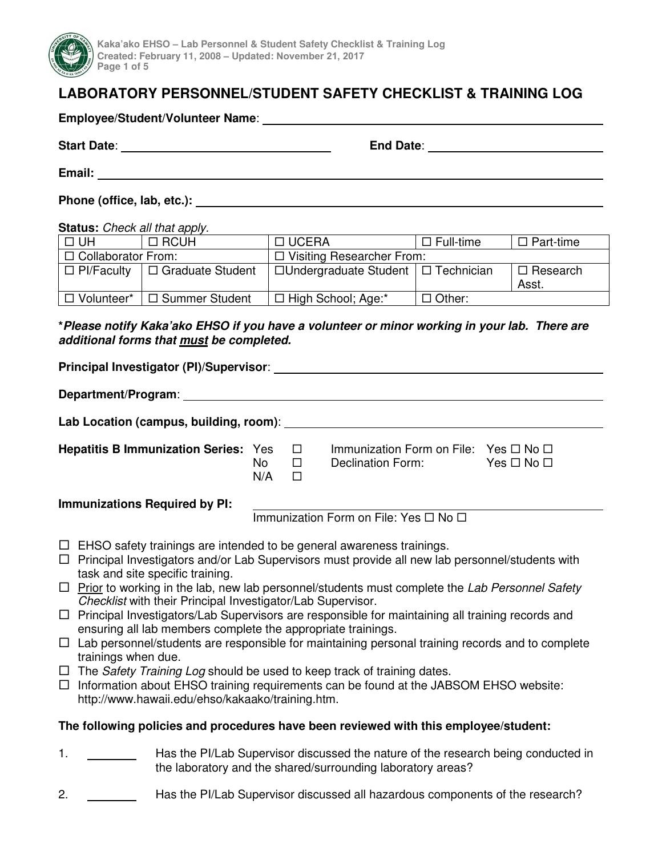

## **LABORATORY PERSONNEL/STUDENT SAFETY CHECKLIST & TRAINING LOG**

| Employee/Student/Volunteer Name: University of the Superson of Taylor Superson                                                                                                                                                                                                                                                                                                                                                                                                                                                                                                                                                                                                                                                                                                                                                                                                                                                                      |                                                                                                               |  |  |  |  |
|-----------------------------------------------------------------------------------------------------------------------------------------------------------------------------------------------------------------------------------------------------------------------------------------------------------------------------------------------------------------------------------------------------------------------------------------------------------------------------------------------------------------------------------------------------------------------------------------------------------------------------------------------------------------------------------------------------------------------------------------------------------------------------------------------------------------------------------------------------------------------------------------------------------------------------------------------------|---------------------------------------------------------------------------------------------------------------|--|--|--|--|
|                                                                                                                                                                                                                                                                                                                                                                                                                                                                                                                                                                                                                                                                                                                                                                                                                                                                                                                                                     |                                                                                                               |  |  |  |  |
| Email: <u>Alexander School (Alexander School (Alexander School (Alexander School (Alexander School (Alexander School (Alexander School (Alexander School (Alexander School (Alexander School (Alexander School (Alexander School</u>                                                                                                                                                                                                                                                                                                                                                                                                                                                                                                                                                                                                                                                                                                                |                                                                                                               |  |  |  |  |
|                                                                                                                                                                                                                                                                                                                                                                                                                                                                                                                                                                                                                                                                                                                                                                                                                                                                                                                                                     |                                                                                                               |  |  |  |  |
| Status: Check all that apply.<br>$\Box$ UCERA<br>$\boxed{\Box}$ Full-time<br>$\Box$ RCUH<br>$\Box$ Part-time<br>$\Box$ UH<br>□ Collaborator From:<br>□ Visiting Researcher From:<br>$\Box$ PI/Faculty $\Box$ Graduate Student<br>$\Box$ Research<br>$\Box$ Undergraduate Student $\Box$ Technician<br>Asst.<br>□ High School; Age:*  <br>$\Box$ Volunteer* $\Box$ Summer Student<br>$\Box$ Other:<br>*Please notify Kaka'ako EHSO if you have a volunteer or minor working in your lab. There are<br>additional forms that must be completed.                                                                                                                                                                                                                                                                                                                                                                                                       |                                                                                                               |  |  |  |  |
|                                                                                                                                                                                                                                                                                                                                                                                                                                                                                                                                                                                                                                                                                                                                                                                                                                                                                                                                                     |                                                                                                               |  |  |  |  |
|                                                                                                                                                                                                                                                                                                                                                                                                                                                                                                                                                                                                                                                                                                                                                                                                                                                                                                                                                     |                                                                                                               |  |  |  |  |
| <b>Hepatitis B Immunization Series: Yes</b><br>No l<br>N/A                                                                                                                                                                                                                                                                                                                                                                                                                                                                                                                                                                                                                                                                                                                                                                                                                                                                                          | Immunization Form on File: Yes □ No □<br>$\Box$<br><b>Declination Form:</b><br>Yes □ No □<br>$\Box$<br>$\Box$ |  |  |  |  |
| <b>Immunizations Required by PI:</b><br>Immunization Form on File: Yes □ No □                                                                                                                                                                                                                                                                                                                                                                                                                                                                                                                                                                                                                                                                                                                                                                                                                                                                       |                                                                                                               |  |  |  |  |
| $\Box$ EHSO safety trainings are intended to be general awareness trainings.<br>□ Principal Investigators and/or Lab Supervisors must provide all new lab personnel/students with<br>task and site specific training.<br>$\Box$ Prior to working in the lab, new lab personnel/students must complete the Lab Personnel Safety<br>Checklist with their Principal Investigator/Lab Supervisor.<br>$\Box$ Principal Investigators/Lab Supervisors are responsible for maintaining all training records and<br>ensuring all lab members complete the appropriate trainings.<br>$\Box$ Lab personnel/students are responsible for maintaining personal training records and to complete<br>trainings when due.<br>The Safety Training Log should be used to keep track of training dates.<br>$\Box$<br>$\Box$ Information about EHSO training requirements can be found at the JABSOM EHSO website:<br>http://www.hawaii.edu/ehso/kakaako/training.htm. |                                                                                                               |  |  |  |  |

## **The following policies and procedures have been reviewed with this employee/student:**

- 1. **I.** Mas the PI/Lab Supervisor discussed the nature of the research being conducted in the laboratory and the shared/surrounding laboratory areas?
- 2. **https://example.org/EQS** Has the PI/Lab Supervisor discussed all hazardous components of the research?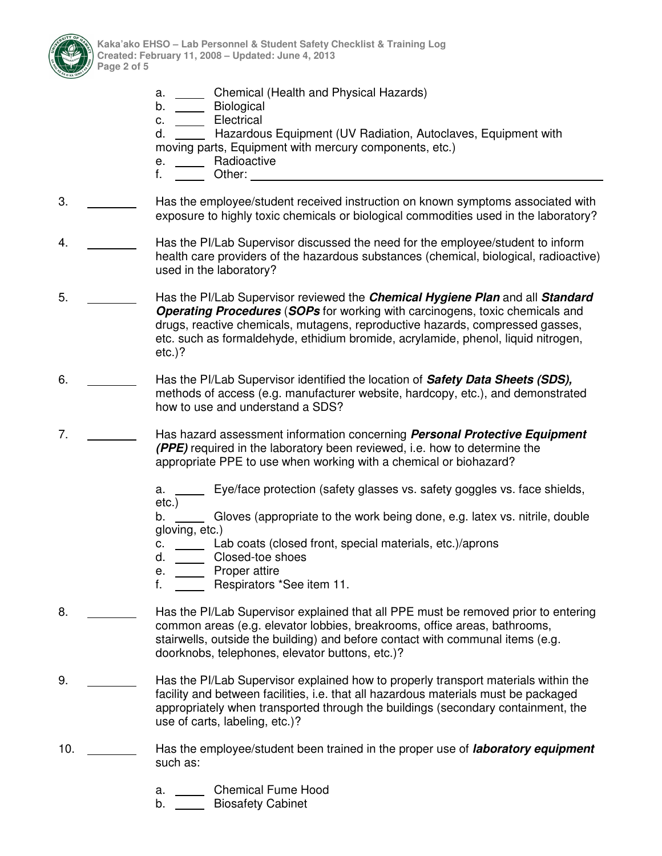

| Kaka'ako EHSO – Lab Personnel & Student Safety Checklist & Training Log |  |
|-------------------------------------------------------------------------|--|
| Created: February 11, 2008 – Updated: June 4, 2013                      |  |
| Page 2 of 5                                                             |  |

|     | Chemical (Health and Physical Hazards)<br>a.<br><b>Biological</b><br>b.<br>Electrical<br>c.<br>Hazardous Equipment (UV Radiation, Autoclaves, Equipment with<br>d.<br>moving parts, Equipment with mercury components, etc.)<br>Radioactive<br>е.<br>f.<br>Other: $\overline{\phantom{a}}$                                                                           |
|-----|----------------------------------------------------------------------------------------------------------------------------------------------------------------------------------------------------------------------------------------------------------------------------------------------------------------------------------------------------------------------|
| 3.  | Has the employee/student received instruction on known symptoms associated with<br>exposure to highly toxic chemicals or biological commodities used in the laboratory?                                                                                                                                                                                              |
| 4.  | Has the PI/Lab Supervisor discussed the need for the employee/student to inform<br>health care providers of the hazardous substances (chemical, biological, radioactive)<br>used in the laboratory?                                                                                                                                                                  |
| 5.  | Has the PI/Lab Supervisor reviewed the <i>Chemical Hygiene Plan</i> and all <i>Standard</i><br><b>Operating Procedures (SOPs for working with carcinogens, toxic chemicals and</b><br>drugs, reactive chemicals, mutagens, reproductive hazards, compressed gasses,<br>etc. such as formaldehyde, ethidium bromide, acrylamide, phenol, liquid nitrogen,<br>$etc.$ ? |
| 6.  | Has the PI/Lab Supervisor identified the location of Safety Data Sheets (SDS),<br>methods of access (e.g. manufacturer website, hardcopy, etc.), and demonstrated<br>how to use and understand a SDS?                                                                                                                                                                |
| 7.  | Has hazard assessment information concerning <i>Personal Protective Equipment</i><br>(PPE) required in the laboratory been reviewed, i.e. how to determine the<br>appropriate PPE to use when working with a chemical or biohazard?                                                                                                                                  |
|     | Eye/face protection (safety glasses vs. safety goggles vs. face shields,<br>a.<br>$etc.$ )                                                                                                                                                                                                                                                                           |
|     | Gloves (appropriate to the work being done, e.g. latex vs. nitrile, double<br>b.<br>gloving, etc.)                                                                                                                                                                                                                                                                   |
|     | Lab coats (closed front, special materials, etc.)/aprons<br>c.<br>d.<br>Closed-toe shoes<br>Proper attire<br>е.<br>Respirators *See item 11.<br>f.                                                                                                                                                                                                                   |
| 8.  | Has the PI/Lab Supervisor explained that all PPE must be removed prior to entering<br>common areas (e.g. elevator lobbies, breakrooms, office areas, bathrooms,<br>stairwells, outside the building) and before contact with communal items (e.g.<br>doorknobs, telephones, elevator buttons, etc.)?                                                                 |
| 9.  | Has the PI/Lab Supervisor explained how to properly transport materials within the<br>facility and between facilities, i.e. that all hazardous materials must be packaged<br>appropriately when transported through the buildings (secondary containment, the<br>use of carts, labeling, etc.)?                                                                      |
| 10. | Has the employee/student been trained in the proper use of <i>laboratory equipment</i><br>such as:                                                                                                                                                                                                                                                                   |

- a. Chemical Fume Hood
- b. **\_\_\_\_\_** Biosafety Cabinet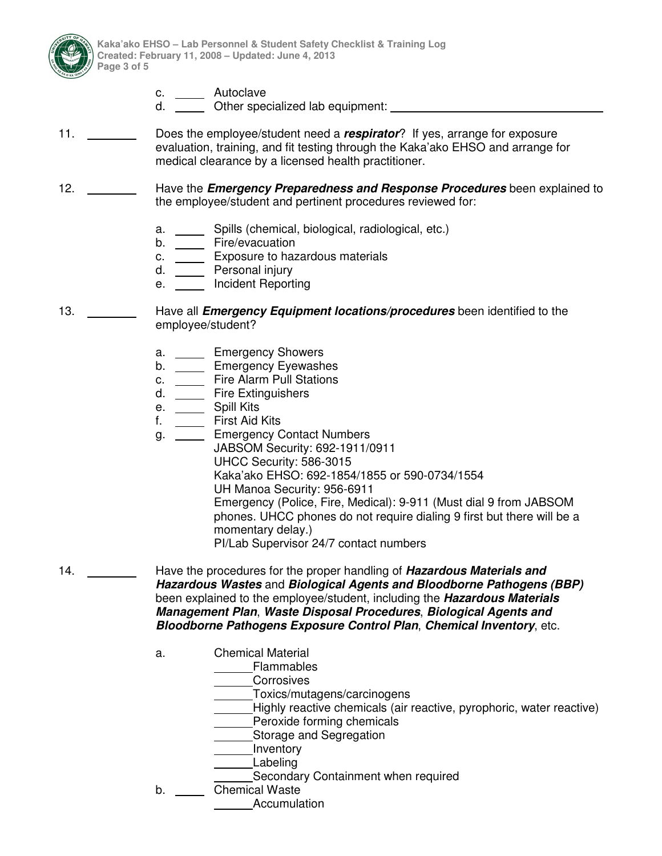

- c. \_\_\_\_\_ Autoclave
- d. \_\_\_\_\_\_ Other specialized lab equipment: \_\_\_\_\_\_\_\_\_\_\_\_\_\_
- 11. Does the employee/student need a **respirator**? If yes, arrange for exposure evaluation, training, and fit testing through the Kaka'ako EHSO and arrange for medical clearance by a licensed health practitioner.
- 12. Have the **Emergency Preparedness and Response Procedures** been explained to the employee/student and pertinent procedures reviewed for:
	- a. Spills (chemical, biological, radiological, etc.)
	- b. \_\_\_\_\_ Fire/evacuation
	- c. \_\_\_\_\_\_ Exposure to hazardous materials
	- d. \_\_\_\_\_ Personal injury
	- e. Incident Reporting
- 13. Have all **Emergency Equipment locations/procedures** been identified to the employee/student?
	- a. \_\_\_\_\_ Emergency Showers
	- b. \_\_\_\_\_\_ Emergency Eyewashes
	- c. \_\_\_\_\_ Fire Alarm Pull Stations
	- d. \_\_\_\_\_\_ Fire Extinguishers
	- e. \_\_\_\_\_\_ Spill Kits
	- f. \_\_\_\_\_\_ First Aid Kits
	- g. Emergency Contact Numbers
		- JABSOM Security: 692-1911/0911
			- UHCC Security: 586-3015

Kaka'ako EHSO: 692-1854/1855 or 590-0734/1554

UH Manoa Security: 956-6911

Emergency (Police, Fire, Medical): 9-911 (Must dial 9 from JABSOM phones. UHCC phones do not require dialing 9 first but there will be a momentary delay.)

PI/Lab Supervisor 24/7 contact numbers

- 14. Have the procedures for the proper handling of **Hazardous Materials and Hazardous Wastes** and **Biological Agents and Bloodborne Pathogens (BBP)**  been explained to the employee/student, including the **Hazardous Materials Management Plan**, **Waste Disposal Procedures**, **Biological Agents and Bloodborne Pathogens Exposure Control Plan**, **Chemical Inventory**, etc.
	- a. Chemical Material
		- Flammables
		- Corrosives
		- Toxics/mutagens/carcinogens
		- Highly reactive chemicals (air reactive, pyrophoric, water reactive)
		- Peroxide forming chemicals
		- Storage and Segregation
		- Inventory
		- Labeling
		- Secondary Containment when required
	- b. Chemical Waste
		- Accumulation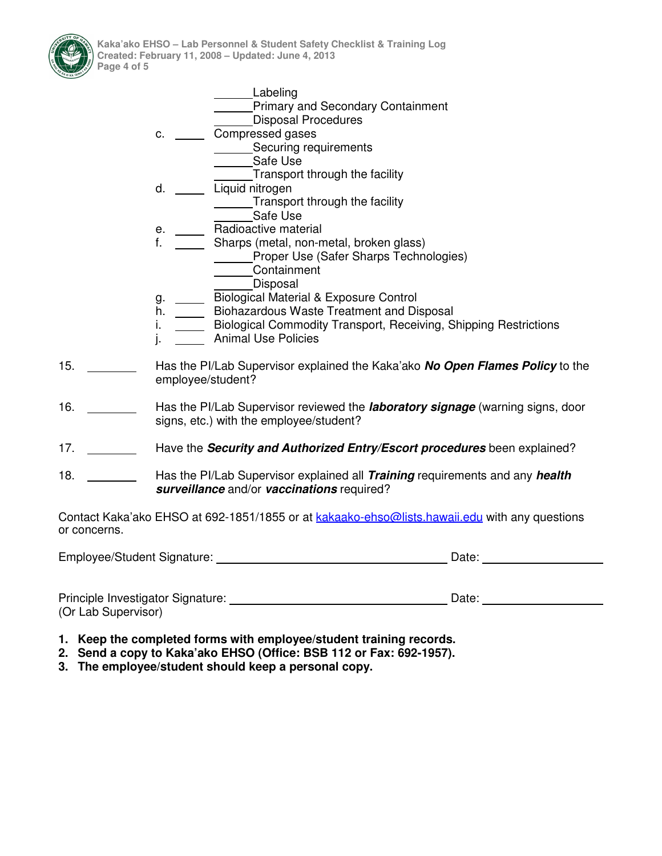

|     | Labeling<br><b>Primary and Secondary Containment</b><br><b>Disposal Procedures</b>                                         |  |
|-----|----------------------------------------------------------------------------------------------------------------------------|--|
|     | Compressed gases<br>c.                                                                                                     |  |
|     | Securing requirements                                                                                                      |  |
|     | Safe Use<br>Transport through the facility                                                                                 |  |
|     | Liquid nitrogen<br>d.                                                                                                      |  |
|     | Transport through the facility                                                                                             |  |
|     | Safe Use                                                                                                                   |  |
|     | Radioactive material<br>е.                                                                                                 |  |
|     | f.<br>Sharps (metal, non-metal, broken glass)                                                                              |  |
|     | Proper Use (Safer Sharps Technologies)                                                                                     |  |
|     | Containment                                                                                                                |  |
|     | Disposal<br><b>Biological Material &amp; Exposure Control</b>                                                              |  |
|     | g.<br>Biohazardous Waste Treatment and Disposal<br>h.                                                                      |  |
|     | i.<br>Biological Commodity Transport, Receiving, Shipping Restrictions                                                     |  |
|     | <b>Animal Use Policies</b>                                                                                                 |  |
|     |                                                                                                                            |  |
| 15. | Has the PI/Lab Supervisor explained the Kaka'ako No Open Flames Policy to the<br>employee/student?                         |  |
| 16. | Has the PI/Lab Supervisor reviewed the <i>laboratory signage</i> (warning signs, door                                      |  |
|     | signs, etc.) with the employee/student?                                                                                    |  |
| 17. | Have the Security and Authorized Entry/Escort procedures been explained?                                                   |  |
| 18. | Has the PI/Lab Supervisor explained all Training requirements and any health<br>surveillance and/or vaccinations required? |  |
|     |                                                                                                                            |  |

Contact Kaka'ako EHSO at 692-1851/1855 or at kakaako-ehso@lists.hawaii.edu with any questions or concerns.

| Employee/Student Signature: | Jate |
|-----------------------------|------|
|                             |      |

Principle Investigator Signature: Date: (Or Lab Supervisor)

- **1. Keep the completed forms with employee/student training records.**
- **2. Send a copy to Kaka'ako EHSO (Office: BSB 112 or Fax: 692-1957).**
- **3. The employee/student should keep a personal copy.**